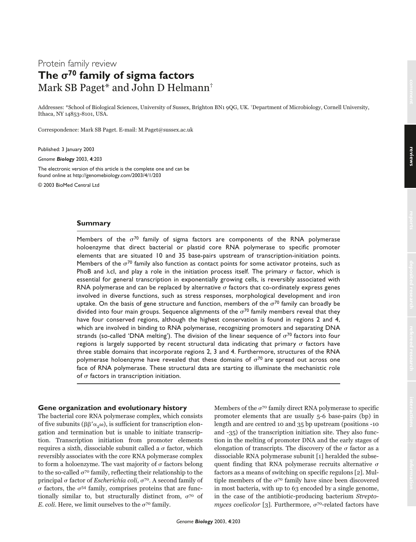# Protein family review The  $\sigma^{70}$  family of sigma factors Mark SB Paget\* and John D Helmann†

Addresses: \*School of Biological Sciences, University of Sussex, Brighton BN1 9QG, UK. †Department of Microbiology, Cornell University, Ithaca, NY 14853-8101, USA.

Correspondence: Mark SB Paget. E-mail: M.Paget@sussex.ac.uk

Published: 3 January 2003

*Genome Biology* 2003, **4**:203

The electronic version of this article is the complete one and can be found online at http://genomebiology.com/2003/4/1/203

© 2003 BioMed Central Ltd

#### **Summary**

Members of the  $\sigma^{70}$  family of sigma factors are components of the RNA polymerase holoenzyme that direct bacterial or plastid core RNA polymerase to specific promoter elements that are situated 10 and 35 base-pairs upstream of transcription-initiation points. Members of the  $\sigma^{70}$  family also function as contact points for some activator proteins, such as PhoB and  $\lambda$ cl, and play a role in the initiation process itself. The primary  $\sigma$  factor, which is essential for general transcription in exponentially growing cells, is reversibly associated with RNA polymerase and can be replaced by alternative  $\sigma$  factors that co-ordinately express genes involved in diverse functions, such as stress responses, morphological development and iron uptake. On the basis of gene structure and function, members of the  $\sigma^{70}$  family can broadly be divided into four main groups. Sequence alignments of the  $\sigma^{70}$  family members reveal that they have four conserved regions, although the highest conservation is found in regions 2 and 4, which are involved in binding to RNA polymerase, recognizing promoters and separating DNA strands (so-called 'DNA melting'). The division of the linear sequence of  $\sigma^{70}$  factors into four regions is largely supported by recent structural data indicating that primary  $\sigma$  factors have three stable domains that incorporate regions 2, 3 and 4. Furthermore, structures of the RNA polymerase holoenzyme have revealed that these domains of  $\sigma^{70}$  are spread out across one face of RNA polymerase. These structural data are starting to illuminate the mechanistic role of  $\sigma$  factors in transcription initiation.

## **Gene organization and evolutionary history**

The bacterial core RNA polymerase complex, which consists of five subunits ( $\beta\beta'\alpha_{\rho}\omega$ ), is sufficient for transcription elongation and termination but is unable to initiate transcription. Transcription initiation from promoter elements requires a sixth, dissociable subunit called a  $\sigma$  factor, which reversibly associates with the core RNA polymerase complex to form a holoenzyme. The vast majority of  $\sigma$  factors belong to the so-called  $\sigma^{70}$  family, reflecting their relationship to the principal  $\sigma$  factor of *Escherichia coli*,  $\sigma^{70}$ . A second family of  $\sigma$  factors, the  $\sigma$ <sup>54</sup> family, comprises proteins that are functionally similar to, but structurally distinct from,  $\sigma^{70}$  of E. coli. Here, we limit ourselves to the  $\sigma^{70}$  family.

Members of the  $\sigma^{70}$  family direct RNA polymerase to specific promoter elements that are usually 5-6 base-pairs (bp) in length and are centred 10 and 35 bp upstream (positions -10 and -35) of the transcription initiation site. They also function in the melting of promoter DNA and the early stages of elongation of transcripts. The discovery of the  $\sigma$  factor as a dissociable RNA polymerase subunit [1] heralded the subsequent finding that RNA polymerase recruits alternative  $\sigma$ factors as a means of switching on specific regulons [2]. Multiple members of the  $\sigma^{70}$  family have since been discovered in most bacteria, with up to 63 encoded by a single genome, in the case of the antibiotic-producing bacterium Streptomyces coelicolor [3]. Furthermore,  $\sigma^{70}$ -related factors have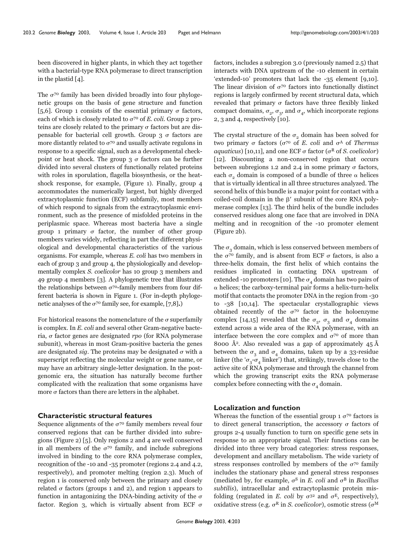been discovered in higher plants, in which they act together with a bacterial-type RNA polymerase to direct transcription in the plastid [4].

The  $\sigma^{70}$  family has been divided broadly into four phylogenetic groups on the basis of gene structure and function [5,6]. Group 1 consists of the essential primary  $\sigma$  factors, each of which is closely related to  $\sigma^{70}$  of E. coli. Group 2 proteins are closely related to the primary  $\sigma$  factors but are dispensable for bacterial cell growth. Group  $3\sigma$  factors are more distantly related to  $\sigma^{70}$  and usually activate regulons in response to a specific signal, such as a developmental checkpoint or heat shock. The group  $3 \sigma$  factors can be further divided into several clusters of functionally related proteins with roles in sporulation, flagella biosynthesis, or the heatshock response, for example, (Figure 1). Finally, group 4 accommodates the numerically largest, but highly diverged extracytoplasmic function (ECF) subfamily, most members of which respond to signals from the extracytoplasmic environment, such as the presence of misfolded proteins in the periplasmic space. Whereas most bacteria have a single group 1 primary  $\sigma$  factor, the number of other group members varies widely, reflecting in part the different physiological and developmental characteristics of the various organisms. For example, whereas E. coli has two members in each of group 3 and group 4, the physiologically and developmentally complex S. coelicolor has 10 group 3 members and 49 group 4 members [3]. A phylogenetic tree that illustrates the relationships between  $\sigma^{\gamma o}$ -family members from four different bacteria is shown in Figure 1. (For in-depth phylogenetic analyses of the  $\sigma^{70}$  family see, for example, [7,8].)

For historical reasons the nomenclature of the  $\sigma$  superfamily is complex. In E. coli and several other Gram-negative bacteria,  $\sigma$  factor genes are designated rpo (for RNA polymerase subunit), whereas in most Gram-positive bacteria the genes are designated *sig*. The proteins may be designated  $\sigma$  with a superscript reflecting the molecular weight or gene name, or may have an arbitrary single-letter designation. In the postgenomic era, the situation has naturally become further complicated with the realization that some organisms have more  $\sigma$  factors than there are letters in the alphabet.

# **Characteristic structural features**

Sequence alignments of the  $\sigma^{70}$  family members reveal four conserved regions that can be further divided into subregions (Figure 2) [5]. Only regions 2 and 4 are well conserved in all members of the  $\sigma^{70}$  family, and include subregions involved in binding to the core RNA polymerase complex, recognition of the -10 and -35 promoter (regions 2.4 and 4.2, respectively), and promoter melting (region 2.3). Much of region 1 is conserved only between the primary and closely related  $\sigma$  factors (groups 1 and 2), and region 1 appears to function in antagonizing the DNA-binding activity of the  $\sigma$ factor. Region 3, which is virtually absent from ECF  $\sigma$ 

factors, includes a subregion 3.0 (previously named 2.5) that interacts with DNA upstream of the -10 element in certain 'extended-10' promoters that lack the -35 element [9,10]. The linear division of  $\sigma^{\gamma}$  factors into functionally distinct regions is largely confirmed by recent structural data, which revealed that primary  $\sigma$  factors have three flexibly linked compact domains,  $\sigma_2$ ,  $\sigma_3$ , and  $\sigma_4$ , which incorporate regions 2, 3 and 4, respectively [10].

The crystal structure of the  $\sigma$ , domain has been solved for two primary  $\sigma$  factors ( $\sigma^{70}$  of E. coli and  $\sigma^{A}$  of Thermus aquaticus) [10,11], and one ECF  $\sigma$  factor ( $\sigma$ <sup>R</sup> of *S. coelicolor*) [12]. Discounting a non-conserved region that occurs between subregions 1.2 and 2.4 in some primary  $\sigma$  factors, each  $\sigma$ <sub>2</sub> domain is composed of a bundle of three  $\alpha$  helices that is virtually identical in all three structures analyzed. The second helix of this bundle is a major point for contact with a coiled-coil domain in the  $\beta'$  subunit of the core RNA polymerase complex [13]. The third helix of the bundle includes conserved residues along one face that are involved in DNA melting and in recognition of the -10 promoter element (Figure 2b).

The  $\sigma_3$  domain, which is less conserved between members of the  $\sigma^{70}$  family, and is absent from ECF  $\sigma$  factors, is also a three-helix domain, the first helix of which contains the residues implicated in contacting DNA upstream of extended -10 promoters [10]. The  $\sigma_A$  domain has two pairs of  $\alpha$  helices; the carboxy-terminal pair forms a helix-turn-helix motif that contacts the promoter DNA in the region from -30 to -38 [10,14]. The spectacular crystallographic views obtained recently of the  $\sigma^{70}$  factor in the holoenzyme complex [14,15] revealed that the  $\sigma_2$ ,  $\sigma_3$  and  $\sigma_4$  domains extend across a wide area of the RNA polymerase, with an interface between the core complex and  $\sigma^{70}$  of more than 8000 Å<sup>2</sup>. Also revealed was a gap of approximately  $45 \text{ Å}$ between the  $\sigma_3$  and  $\sigma_4$  domains, taken up by a 33-residue linker (the ' $\sigma_{3}$ - $\sigma_{4}$  linker') that, strikingly, travels close to the active site of RNA polymerase and through the channel from which the growing transcript exits the RNA polymerase complex before connecting with the  $\sigma_{4}$  domain.

# **Localization and function**

Whereas the function of the essential group 1  $\sigma$ <sup>70</sup> factors is to direct general transcription, the accessory  $\sigma$  factors of groups 2-4 usually function to turn on specific gene sets in response to an appropriate signal. Their functions can be divided into three very broad categories: stress responses, development and ancillary metabolism. The wide variety of stress responses controlled by members of the  $\sigma^{70}$  family includes the stationary phase and general stress responses (mediated by, for example,  $\sigma^S$  in E. coli and  $\sigma^B$  in Bacillus subtilis), intracellular and extracytoplasmic protein misfolding (regulated in E. coli by  $\sigma^{32}$  and  $\sigma^{E}$ , respectively), oxidative stress (e.g.  $\sigma^R$  in S. coelicolor), osmotic stress ( $\sigma^M$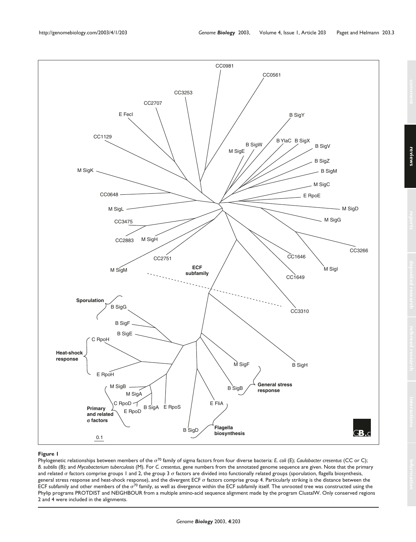

#### **Figure 1**

Phylogenetic relationships between members of the  $\sigma^{70}$  family of sigma factors from four diverse bacteria: *E. coli* (E); *Caulobacter cresentus* (CC or C); *B. subtilis* (B); and *Mycobacterium tuberculosis* (M). For *C. cresentus*, gene numbers from the annotated genome sequence are given. Note that the primary and related o factors comprise groups 1 and 2, the group 3 o factors are divided into functionally related groups (sporulation, flagella biosynthesis, general stress response and heat-shock response), and the divergent ECF  $\sigma$  factors comprise group 4. Particularly striking is the distance between the ECF subfamily and other members of the  $\sigma^{70}$  family, as well as divergence within the ECF subfamily itself. The unrooted tree was constructed using the Phylip programs PROTDIST and NEIGHBOUR from a multiple amino-acid sequence alignment made by the program ClustalW. Only conserved regions 2 and 4 were included in the alignments.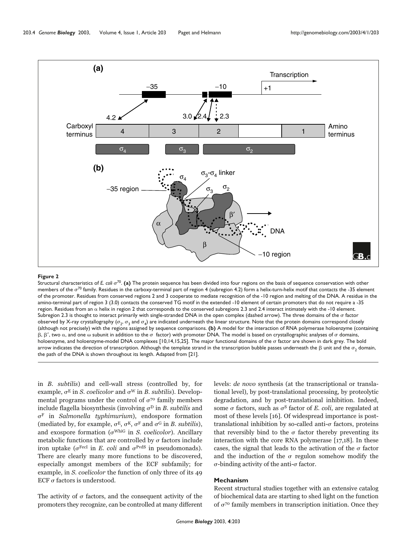

#### **Figure 2**

Structural characteristics of *E. coli*  $\sigma^{70}$ . (a) The protein sequence has been divided into four regions on the basis of sequence conservation with other members of the  $\sigma^{70}$  family. Residues in the carboxy-terminal part of region 4 (subregion 4.2) form a helix-turn-helix motif that contacts the -35 element of the promoter. Residues from conserved regions 2 and 3 cooperate to mediate recognition of the -10 region and melting of the DNA. A residue in the amino-terminal part of region 3 (3.0) contacts the conserved TG motif in the extended -10 element of certain promoters that do not require a -35 region. Residues from an  $\alpha$  helix in region 2 that corresponds to the conserved subregions 2.3 and 2.4 interact intimately with the -10 element. Subregion 2.3 is thought to interact primarily with single-stranded DNA in the open complex (dashed arrow). The three domains of the  $\sigma$  factor observed by X-ray crystallography ( $\sigma_2$ ,  $\sigma_3$  and  $\sigma_4$ ) are indicated underneath the linear structure. Note that the protein domains correspond closely (although not precisely) with the regions assigned by sequence comparisons. **(b)** A model for the interaction of RNA polymerase holoenzyme (containing  $\beta$ ,  $\beta'$ , two  $\alpha$ , and one  $\omega$  subunit in addition to the  $\sigma$  factor) with promoter DNA. The model is based on crystallographic analyses of  $\sigma$  domains, holoenzyme, and holoenzyme-model DNA complexes  $[10,14,15,25]$ . The major functional domains of the  $\sigma$  factor are shown in dark grey. The bold arrow indicates the direction of transcription. Although the template strand in the transcription bubble passes underneath the  $\beta$  unit and the  $\sigma_2$  domain, the path of the DNA is shown throughout its length. Adapted from [21].

in B. subtilis) and cell-wall stress (controlled by, for example,  $\sigma^E$  in *S. coelicolor* and  $\sigma^W$  in *B. subtilis*). Developmental programs under the control of  $\sigma^{\gamma}$  family members include flagella biosynthesis (involving  $\sigma^D$  in B. subtilis and  $\sigma$ <sup>F</sup> in *Salmonella typhimurium*), endospore formation (mediated by, for example,  $\sigma^{E}$ ,  $\sigma^{K}$ ,  $\sigma^{F}$  and  $\sigma^{G}$  in *B*. *subtilis*), and exospore formation ( $\sigma^{WhiG}$  in S. coelicolor). Ancillary metabolic functions that are controlled by  $\sigma$  factors include iron uptake ( $\sigma$ <sup>FecI</sup> in *E. coli* and  $\sigma$ <sup>PvdS</sup> in pseudomonads). There are clearly many more functions to be discovered, especially amongst members of the ECF subfamily; for example, in S. coelicolor the function of only three of its 49 ECF  $\sigma$  factors is understood.

The activity of  $\sigma$  factors, and the consequent activity of the promoters they recognize, can be controlled at many different levels: de novo synthesis (at the transcriptional or translational level), by post-translational processing, by proteolytic degradation, and by post-translational inhibition. Indeed, some  $\sigma$  factors, such as  $\sigma$ <sup>S</sup> factor of *E*. *coli*, are regulated at most of these levels [16]. Of widespread importance is posttranslational inhibition by so-called anti- $\sigma$  factors, proteins that reversibly bind to the  $\sigma$  factor thereby preventing its interaction with the core RNA polymerase [17,18]. In these cases, the signal that leads to the activation of the  $\sigma$  factor and the induction of the  $\sigma$  regulon somehow modify the  $\sigma$ -binding activity of the anti- $\sigma$  factor.

# **Mechanism**

Recent structural studies together with an extensive catalog of biochemical data are starting to shed light on the function of  $\sigma^{70}$  family members in transcription initiation. Once they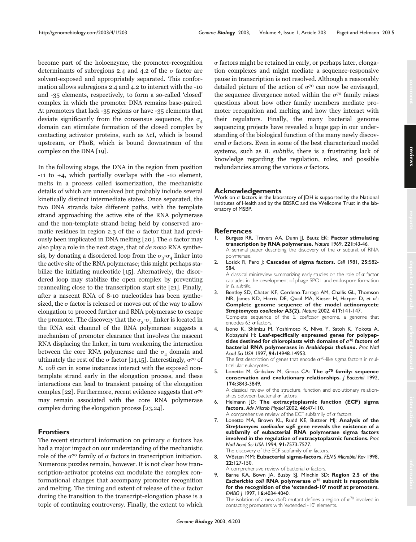become part of the holoenzyme, the promoter-recognition determinants of subregions 2.4 and 4.2 of the  $\sigma$  factor are solvent-exposed and appropriately separated. This conformation allows subregions 2.4 and 4.2 to interact with the -10 and -35 elements, respectively, to form a so-called 'closed' complex in which the promoter DNA remains base-paired. At promoters that lack -35 regions or have -35 elements that deviate significantly from the consensus sequence, the  $\sigma_A$ domain can stimulate formation of the closed complex by contacting activator proteins, such as  $\lambda cI$ , which is bound upstream, or PhoB, which is bound downstream of the complex on the DNA [19].

In the following stage, the DNA in the region from position -11 to +4, which partially overlaps with the -10 element, melts in a process called isomerization, the mechanistic details of which are unresolved but probably include several kinetically distinct intermediate states. Once separated, the two DNA strands take different paths, with the template strand approaching the active site of the RNA polymerase and the non-template strand being held by conserved aromatic residues in region 2.3 of the  $\sigma$  factor that had previously been implicated in DNA melting [20]. The  $\sigma$  factor may also play a role in the next stage, that of de novo RNA synthesis, by donating a disordered loop from the  $\sigma_3$ - $\sigma_4$  linker into the active site of the RNA polymerase; this might perhaps stabilize the initiating nucleotide [15]. Alternatively, the disordered loop may stabilize the open complex by preventing reannealing close to the transcription start site [21]. Finally, after a nascent RNA of 8-10 nucleotides has been synthesized, the  $\sigma$  factor is released or moves out of the way to allow elongation to proceed further and RNA polymerase to escape the promoter. The discovery that the  $\sigma_3$ - $\sigma_4$  linker is located in the RNA exit channel of the RNA polymerase suggests a mechanism of promoter clearance that involves the nascent RNA displacing the linker, in turn weakening the interaction between the core RNA polymerase and the  $\sigma_A$  domain and ultimately the rest of the  $\sigma$  factor [14,15]. Interestingly,  $\sigma^{70}$  of E. coli can in some instances interact with the exposed nontemplate strand early in the elongation process, and these interactions can lead to transient pausing of the elongation complex [22]. Furthermore, recent evidence suggests that  $\sigma^{70}$ may remain associated with the core RNA polymerase complex during the elongation process [23,24].

# **Frontiers**

The recent structural information on primary  $\sigma$  factors has had a major impact on our understanding of the mechanistic role of the  $\sigma^{70}$  family of  $\sigma$  factors in transcription initiation. Numerous puzzles remain, however. It is not clear how transcription-activator proteins can modulate the complex conformational changes that accompany promoter recognition and melting. The timing and extent of release of the  $\sigma$  factor during the transition to the transcript-elongation phase is a topic of continuing controversy. Finally, the extent to which  $\sigma$  factors might be retained in early, or perhaps later, elongation complexes and might mediate a sequence-responsive pause in transcription is not resolved. Although a reasonably detailed picture of the action of  $\sigma^{70}$  can now be envisaged, the sequence divergence noted within the  $\sigma^{\gamma}$  family raises questions about how other family members mediate promoter recognition and melting and how they interact with their regulators. Finally, the many bacterial genome sequencing projects have revealed a huge gap in our understanding of the biological function of the many newly discovered  $\sigma$  factors. Even in some of the best characterized model systems, such as *B*. *subtilis*, there is a frustrating lack of knowledge regarding the regulation, roles, and possible redundancies among the various  $\sigma$  factors.

## **Acknowledgements**

Work on  $\sigma$  factors in the laboratory of JDH is supported by the National Institutes of Health and by the BBSRC and the Wellcome Trust in the laboratory of MSBP.

## **References**

- 1. Burgess RR, Travers AA, Dunn JJ, Bautz EK: **Factor stimulating transcription by RNA polymerase.** *Nature* 1969, **221:**43-46. A seminal paper describing the discovery of the  $\sigma$  subunit of RNA polymerase.
- 2. Losick R, Pero J: **Cascades of sigma factors.** *Cell* 1981, **25:**582- 584.

A classical minireview summarizing early studies on the role of  $\sigma$  factor cascades in the development of phage SPO1 and endospore formation in *B. subtilis*.

3. Bentley SD, Chater KF, Cerdeno-Tarraga AM, Challis GL, Thomson NR, James KD, Harris DE, Quail MA, Kieser H, Harper D, *et al.*: **Complete genome sequence of the model actinomycete** *Streptomyces coelicolor* **A3(2).** *Nature* 2002, **417:**141-147. Complete sequence of the *S. coelicolor* genome, a genome that

encodes 63  $\sigma$  factors.

4. Isono K, Shimizu M, Yoshimoto K, Niwa Y, Satoh K, Yokota A, Kobayashi H: **Leaf-specifically expressed genes for polypeptides destined for chloroplasts with domains of <sup>70</sup> factors of bacterial RNA polymerases in** *Arabidopsis thaliana***.** *Proc Natl Acad Sci USA* 1997, **94:**14948-14953.

The first description of genes that encode  $\sigma^{70}$ -like sigma factors in multicellular eukaryotes.

5. Lonetto M, Gribskov M, Gross CA: **The <sup>70</sup> family: sequence conservation and evolutionary relationships.** *J Bacteriol* 1992, **174:**3843-3849.

A classical review of the structure, function and evolutionary relationships between bacterial  $\sigma$  factors.

- 6. Helmann JD: **The extracytoplasmic function (ECF) sigma factors.** *Adv Microb Physiol* 2002, **46:**47-110. A comprehensive review of the ECF subfamily of  $\sigma$  factors.
- 7. Lonetto MA, Brown KL, Rudd KE, Buttner MJ: **Analysis of the** *Streptomyces coelicolor sigE* **gene reveals the existence of a subfamily of eubacterial RNA polymerase sigma factors involved in the regulation of extracytoplasmic functions.** *Proc Natl Acad Sci USA* 1994, **91:**7573-7577. The discovery of the ECF subfamily of  $\sigma$  factors.
- 8. Wösten MM: **Eubacterial sigma-factors.** *FEMS Microbiol Rev* 1998, **22:**127-150.

A comprehensive review of bacterial  $\sigma$  factors.

9. Barne KA, Bown JA, Busby SJ, Minchin SD: **Region 2.5 of the** *E***s***cherichia coli* **RNA polymerase <sup>70</sup> subunit is responsible for the recognition of the 'extended-10' motif at promoters.** *EMBO J* 1997, **16:**4034-4040.

The isolation of a new *rpoD* mutant defines a region of  $\sigma^{70}$  involved in contacting promoters with 'extended -10' elements.